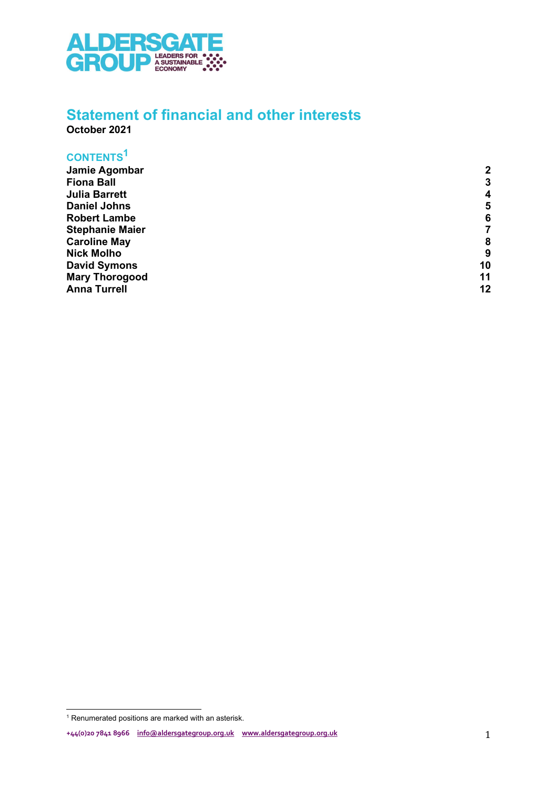

### Statement of financial and other interests

October 2021

#### CONTENTS<sup>1</sup>

| Jamie Agombar          | $\mathbf{2}$     |
|------------------------|------------------|
| <b>Fiona Ball</b>      | 3                |
| <b>Julia Barrett</b>   | $\boldsymbol{4}$ |
| <b>Daniel Johns</b>    | 5                |
| <b>Robert Lambe</b>    | 6                |
| <b>Stephanie Maier</b> |                  |
| <b>Caroline May</b>    | 8                |
| <b>Nick Molho</b>      | 9                |
| <b>David Symons</b>    | 10               |
| <b>Mary Thorogood</b>  | 11               |
| <b>Anna Turrell</b>    | 12               |

<sup>&</sup>lt;sup>1</sup> Renumerated positions are marked with an asterisk.

<sup>+44(0)20 7841 8966</sup> info@aldersgategroup.org.uk www.aldersgategroup.org.uk 1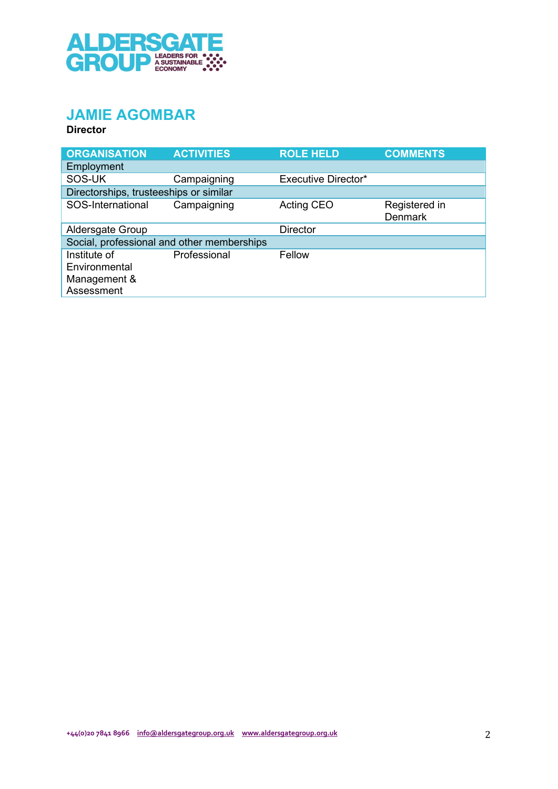

# JAMIE AGOMBAR

| <b>ORGANISATION</b>                                         | <b>ACTIVITIES</b> | <b>ROLE HELD</b>           | <b>COMMENTS</b>                 |
|-------------------------------------------------------------|-------------------|----------------------------|---------------------------------|
| Employment                                                  |                   |                            |                                 |
| SOS-UK                                                      | Campaigning       | <b>Executive Director*</b> |                                 |
| Directorships, trusteeships or similar                      |                   |                            |                                 |
| SOS-International                                           | Campaigning       | Acting CEO                 | Registered in<br><b>Denmark</b> |
| Aldersgate Group                                            |                   | <b>Director</b>            |                                 |
| Social, professional and other memberships                  |                   |                            |                                 |
| Institute of<br>Environmental<br>Management &<br>Assessment | Professional      | Fellow                     |                                 |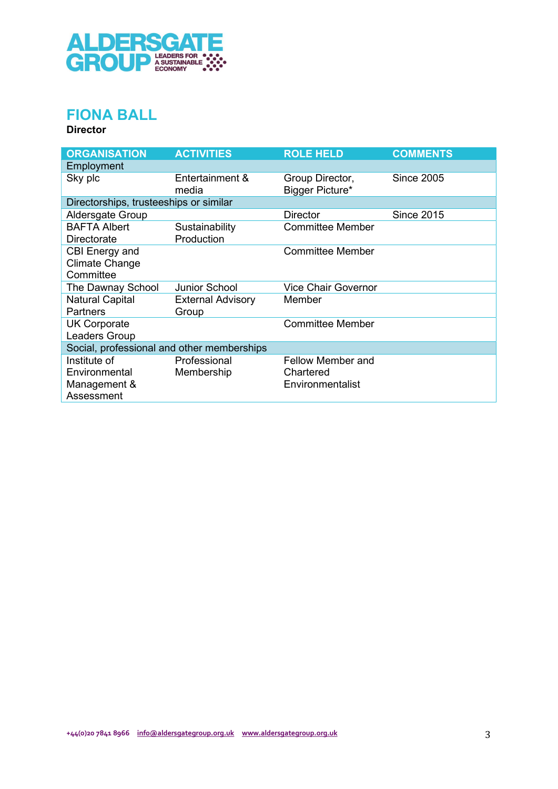

## FIONA BALL

| <b>ORGANISATION</b>                        | <b>ACTIVITIES</b>        | <b>ROLE HELD</b>                   | <b>COMMENTS</b>   |
|--------------------------------------------|--------------------------|------------------------------------|-------------------|
| Employment                                 |                          |                                    |                   |
| Sky plc                                    | Entertainment &<br>media | Group Director,<br>Bigger Picture* | <b>Since 2005</b> |
| Directorships, trusteeships or similar     |                          |                                    |                   |
| Aldersgate Group                           |                          | <b>Director</b>                    | <b>Since 2015</b> |
| <b>BAFTA Albert</b>                        | Sustainability           | <b>Committee Member</b>            |                   |
| Directorate                                | Production               |                                    |                   |
| CBI Energy and                             |                          | <b>Committee Member</b>            |                   |
| <b>Climate Change</b>                      |                          |                                    |                   |
| Committee                                  |                          |                                    |                   |
| The Dawnay School                          | <b>Junior School</b>     | <b>Vice Chair Governor</b>         |                   |
| <b>Natural Capital</b>                     | <b>External Advisory</b> | Member                             |                   |
| <b>Partners</b>                            | Group                    |                                    |                   |
| <b>UK Corporate</b>                        |                          | <b>Committee Member</b>            |                   |
| Leaders Group                              |                          |                                    |                   |
| Social, professional and other memberships |                          |                                    |                   |
| Institute of                               | Professional             | <b>Fellow Member and</b>           |                   |
| Environmental                              | Membership               | Chartered                          |                   |
| Management &                               |                          | Environmentalist                   |                   |
| Assessment                                 |                          |                                    |                   |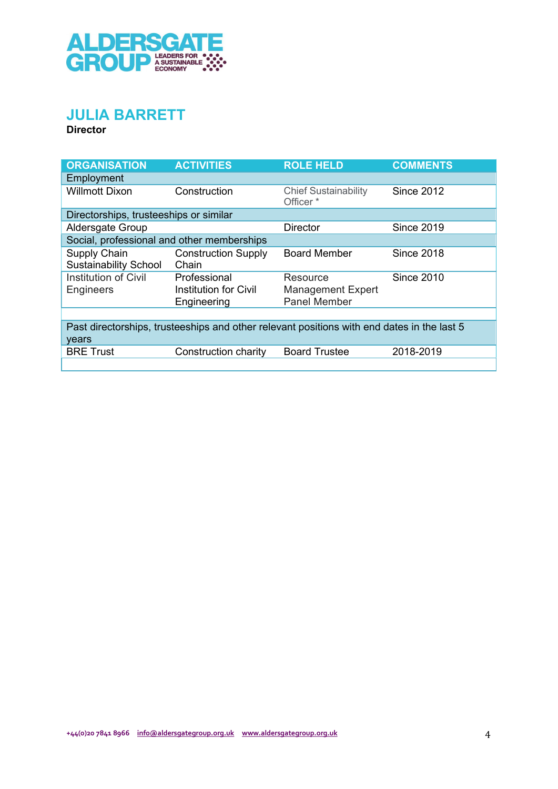

### JULIA BARRETT

| <b>ORGANISATION</b>                          | <b>ACTIVITIES</b>                                                                          | <b>ROLE HELD</b>                                    | <b>COMMENTS</b>   |
|----------------------------------------------|--------------------------------------------------------------------------------------------|-----------------------------------------------------|-------------------|
| Employment                                   |                                                                                            |                                                     |                   |
| <b>Willmott Dixon</b>                        | Construction                                                                               | <b>Chief Sustainability</b><br>Officer <sup>*</sup> | <b>Since 2012</b> |
| Directorships, trusteeships or similar       |                                                                                            |                                                     |                   |
| Aldersgate Group                             |                                                                                            | <b>Director</b>                                     | <b>Since 2019</b> |
| Social, professional and other memberships   |                                                                                            |                                                     |                   |
| Supply Chain<br><b>Sustainability School</b> | <b>Construction Supply</b><br>Chain                                                        | <b>Board Member</b>                                 | <b>Since 2018</b> |
| Institution of Civil<br><b>Engineers</b>     | Professional<br><b>Institution for Civil</b>                                               | Resource<br><b>Management Expert</b>                | <b>Since 2010</b> |
|                                              | Engineering                                                                                | <b>Panel Member</b>                                 |                   |
| years                                        | Past directorships, trusteeships and other relevant positions with end dates in the last 5 |                                                     |                   |
| <b>BRE Trust</b>                             | Construction charity                                                                       | <b>Board Trustee</b>                                | 2018-2019         |
|                                              |                                                                                            |                                                     |                   |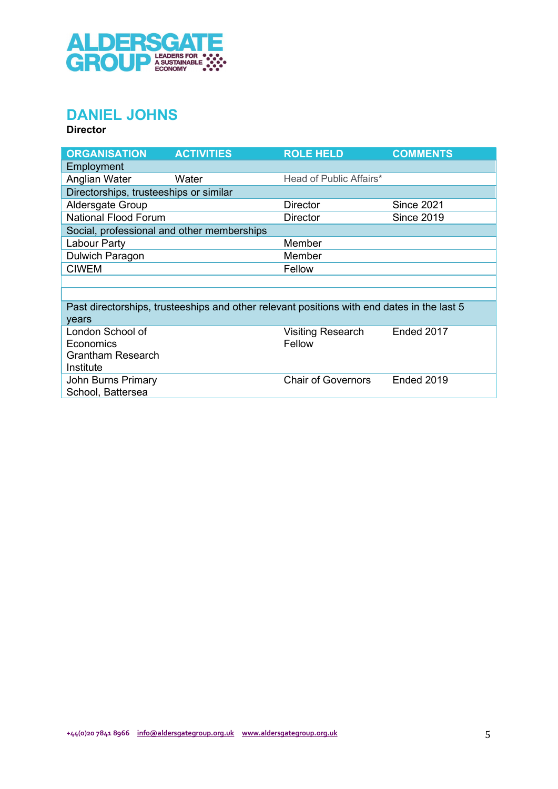

# DANIEL JOHNS

| <b>ORGANISATION</b>                    | <b>ACTIVITIES</b>                                                                          | <b>ROLE HELD</b>          | <b>COMMENTS</b>   |
|----------------------------------------|--------------------------------------------------------------------------------------------|---------------------------|-------------------|
| Employment                             |                                                                                            |                           |                   |
| Anglian Water                          | Water                                                                                      | Head of Public Affairs*   |                   |
| Directorships, trusteeships or similar |                                                                                            |                           |                   |
| Aldersgate Group                       |                                                                                            | <b>Director</b>           | <b>Since 2021</b> |
| <b>National Flood Forum</b>            |                                                                                            | <b>Director</b>           | <b>Since 2019</b> |
|                                        | Social, professional and other memberships                                                 |                           |                   |
| Labour Party                           |                                                                                            | Member                    |                   |
| Dulwich Paragon                        |                                                                                            | Member                    |                   |
| <b>CIWEM</b>                           |                                                                                            | Fellow                    |                   |
|                                        |                                                                                            |                           |                   |
|                                        |                                                                                            |                           |                   |
|                                        | Past directorships, trusteeships and other relevant positions with end dates in the last 5 |                           |                   |
| years                                  |                                                                                            |                           |                   |
| London School of                       |                                                                                            | <b>Visiting Research</b>  | Ended 2017        |
| Economics                              |                                                                                            | Fellow                    |                   |
| <b>Grantham Research</b>               |                                                                                            |                           |                   |
| Institute                              |                                                                                            |                           |                   |
| John Burns Primary                     |                                                                                            | <b>Chair of Governors</b> | Ended 2019        |
| School, Battersea                      |                                                                                            |                           |                   |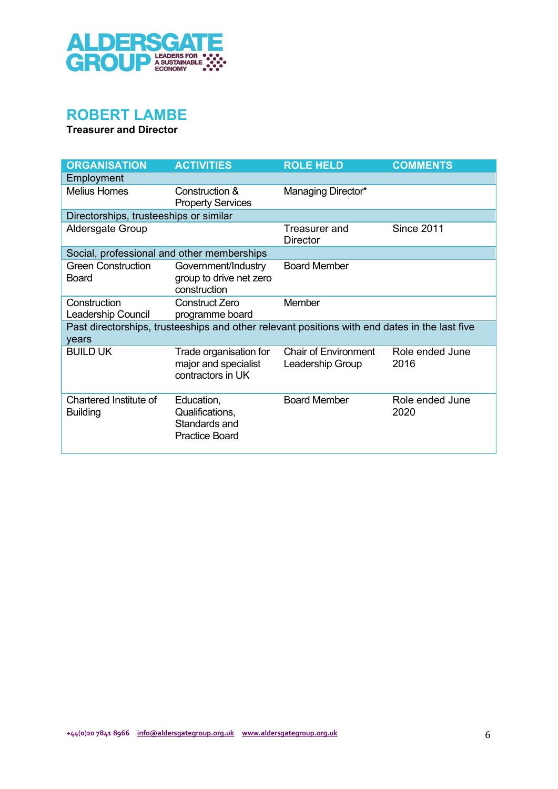

## ROBERT LAMBE

Treasurer and Director

| <b>ORGANISATION</b>                        | <b>ACTIVITIES</b>                                                                             | <b>ROLE HELD</b>                                | <b>COMMENTS</b>         |
|--------------------------------------------|-----------------------------------------------------------------------------------------------|-------------------------------------------------|-------------------------|
| Employment                                 |                                                                                               |                                                 |                         |
| <b>Melius Homes</b>                        | Construction &<br><b>Property Services</b>                                                    | Managing Director*                              |                         |
| Directorships, trusteeships or similar     |                                                                                               |                                                 |                         |
| Aldersgate Group                           |                                                                                               | Treasurer and<br><b>Director</b>                | <b>Since 2011</b>       |
| Social, professional and other memberships |                                                                                               |                                                 |                         |
| <b>Green Construction</b><br>Board         | Government/Industry<br>group to drive net zero<br>construction                                | <b>Board Member</b>                             |                         |
| Construction<br>Leadership Council         | <b>Construct Zero</b><br>programme board                                                      | Member                                          |                         |
| years                                      | Past directorships, trusteeships and other relevant positions with end dates in the last five |                                                 |                         |
| <b>BUILD UK</b>                            | Trade organisation for<br>major and specialist<br>contractors in UK                           | <b>Chair of Environment</b><br>Leadership Group | Role ended June<br>2016 |
| Chartered Institute of<br><b>Building</b>  | Education,<br>Qualifications,<br>Standards and<br><b>Practice Board</b>                       | <b>Board Member</b>                             | Role ended June<br>2020 |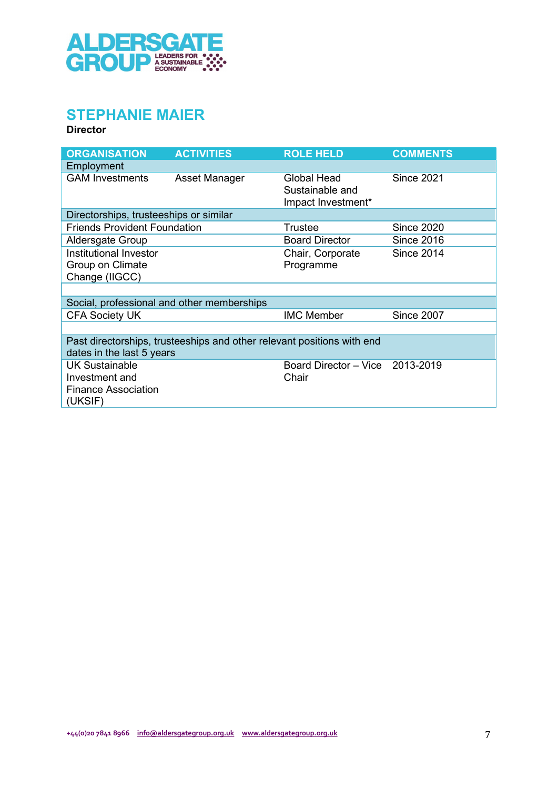

# STEPHANIE MAIER

| <b>ORGANISATION</b>                                                              | <b>ACTIVITIES</b>                                                      | <b>ROLE HELD</b>                                     | <b>COMMENTS</b>   |
|----------------------------------------------------------------------------------|------------------------------------------------------------------------|------------------------------------------------------|-------------------|
| Employment                                                                       |                                                                        |                                                      |                   |
| <b>GAM Investments</b>                                                           | Asset Manager                                                          | Global Head<br>Sustainable and<br>Impact Investment* | <b>Since 2021</b> |
| Directorships, trusteeships or similar                                           |                                                                        |                                                      |                   |
| <b>Friends Provident Foundation</b>                                              |                                                                        | Trustee                                              | <b>Since 2020</b> |
| Aldersgate Group                                                                 |                                                                        | <b>Board Director</b>                                | <b>Since 2016</b> |
| Institutional Investor                                                           |                                                                        | Chair, Corporate                                     | <b>Since 2014</b> |
| Group on Climate                                                                 |                                                                        | Programme                                            |                   |
| Change (IIGCC)                                                                   |                                                                        |                                                      |                   |
|                                                                                  |                                                                        |                                                      |                   |
| Social, professional and other memberships                                       |                                                                        |                                                      |                   |
| <b>CFA Society UK</b>                                                            |                                                                        | <b>IMC Member</b>                                    | <b>Since 2007</b> |
|                                                                                  |                                                                        |                                                      |                   |
| dates in the last 5 years                                                        | Past directorships, trusteeships and other relevant positions with end |                                                      |                   |
| <b>UK Sustainable</b><br>Investment and<br><b>Finance Association</b><br>(UKSIF) |                                                                        | Board Director - Vice 2013-2019<br>Chair             |                   |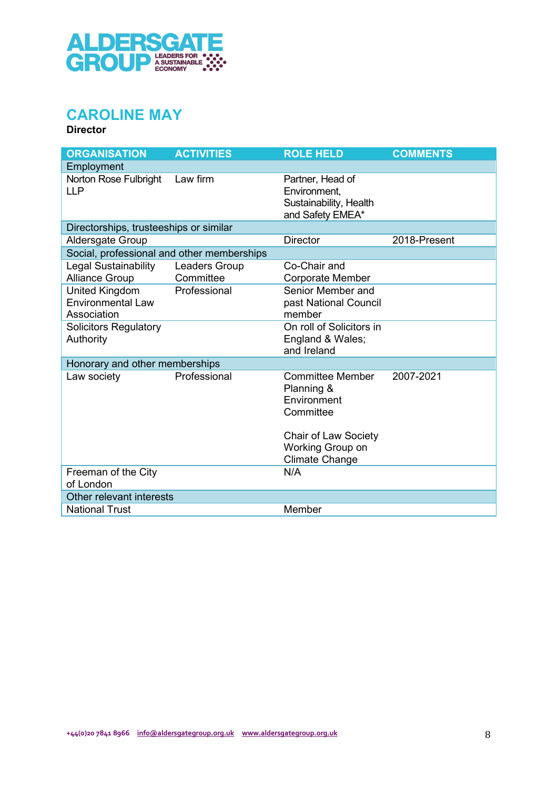

# CAROLINE MAY

| <b>ORGANISATION</b>                                              | <b>ACTIVITIES</b>          | <b>ROLE HELD</b>                                                               | <b>COMMENTS</b> |
|------------------------------------------------------------------|----------------------------|--------------------------------------------------------------------------------|-----------------|
| Employment                                                       |                            |                                                                                |                 |
| Norton Rose Fulbright<br><b>LLP</b>                              | Law firm                   | Partner, Head of<br>Environment,<br>Sustainability, Health<br>and Safety EMEA* |                 |
| Directorships, trusteeships or similar                           |                            |                                                                                |                 |
| <b>Aldersgate Group</b>                                          |                            | <b>Director</b>                                                                | 2018-Present    |
| Social, professional and other memberships                       |                            |                                                                                |                 |
| Legal Sustainability<br><b>Alliance Group</b>                    | Leaders Group<br>Committee | Co-Chair and<br><b>Corporate Member</b>                                        |                 |
| <b>United Kingdom</b><br><b>Environmental Law</b><br>Association | Professional               | Senior Member and<br>past National Council<br>member                           |                 |
| <b>Solicitors Regulatory</b><br>Authority                        |                            | On roll of Solicitors in<br>England & Wales;<br>and Ireland                    |                 |
| Honorary and other memberships                                   |                            |                                                                                |                 |
| Law society                                                      | Professional               | <b>Committee Member</b><br>Planning &<br>Environment<br>Committee              | 2007-2021       |
|                                                                  |                            | <b>Chair of Law Society</b><br>Working Group on<br><b>Climate Change</b>       |                 |
| Freeman of the City<br>of London                                 |                            | N/A                                                                            |                 |
| Other relevant interests                                         |                            |                                                                                |                 |
| <b>National Trust</b>                                            |                            | Member                                                                         |                 |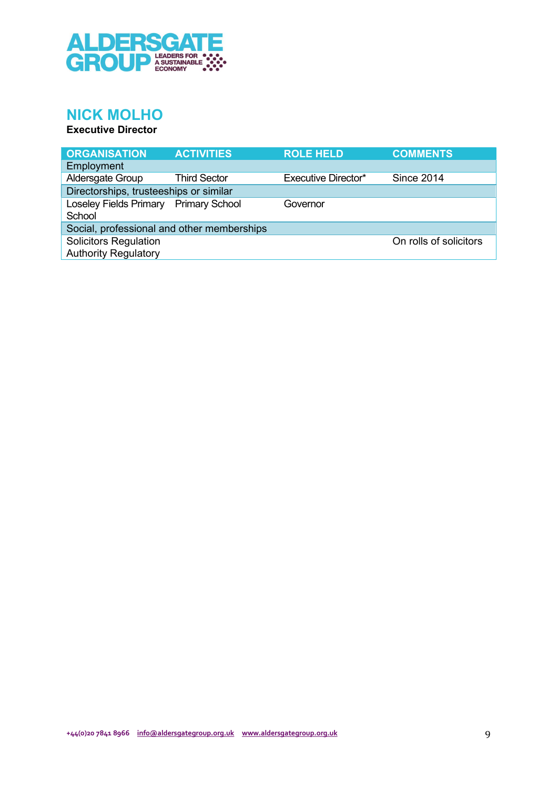

## NICK MOLHO

#### Executive Director

| <b>ORGANISATION</b>                                         | <b>ACTIVITIES</b>   | <b>ROLE HELD</b>    | <b>COMMENTS</b>        |
|-------------------------------------------------------------|---------------------|---------------------|------------------------|
| Employment                                                  |                     |                     |                        |
| Aldersgate Group                                            | <b>Third Sector</b> | Executive Director* | <b>Since 2014</b>      |
| Directorships, trusteeships or similar                      |                     |                     |                        |
| Loseley Fields Primary Primary School<br>School             |                     | Governor            |                        |
| Social, professional and other memberships                  |                     |                     |                        |
| <b>Solicitors Regulation</b><br><b>Authority Regulatory</b> |                     |                     | On rolls of solicitors |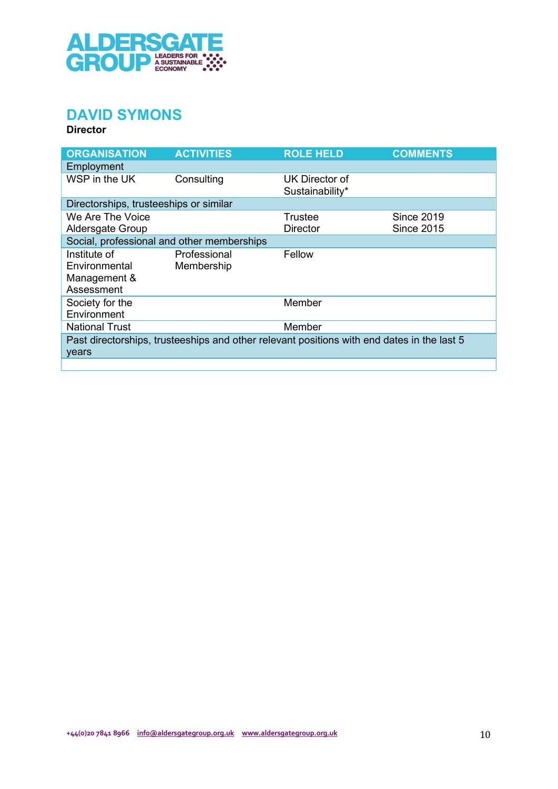

## DAVID SYMONS

| <b>ORGANISATION</b>                                         | <b>ACTIVITIES</b>                                                                          | <b>ROLE HELD</b>                  | <b>COMMENTS</b>                        |
|-------------------------------------------------------------|--------------------------------------------------------------------------------------------|-----------------------------------|----------------------------------------|
| Employment                                                  |                                                                                            |                                   |                                        |
| WSP in the UK                                               | Consulting                                                                                 | UK Director of<br>Sustainability* |                                        |
| Directorships, trusteeships or similar                      |                                                                                            |                                   |                                        |
| We Are The Voice<br>Aldersgate Group                        |                                                                                            | Trustee<br><b>Director</b>        | <b>Since 2019</b><br><b>Since 2015</b> |
|                                                             | Social, professional and other memberships                                                 |                                   |                                        |
| Institute of<br>Environmental<br>Management &<br>Assessment | Professional<br>Membership                                                                 | Fellow                            |                                        |
| Society for the<br>Environment                              |                                                                                            | Member                            |                                        |
| <b>National Trust</b>                                       |                                                                                            | Member                            |                                        |
| years                                                       | Past directorships, trusteeships and other relevant positions with end dates in the last 5 |                                   |                                        |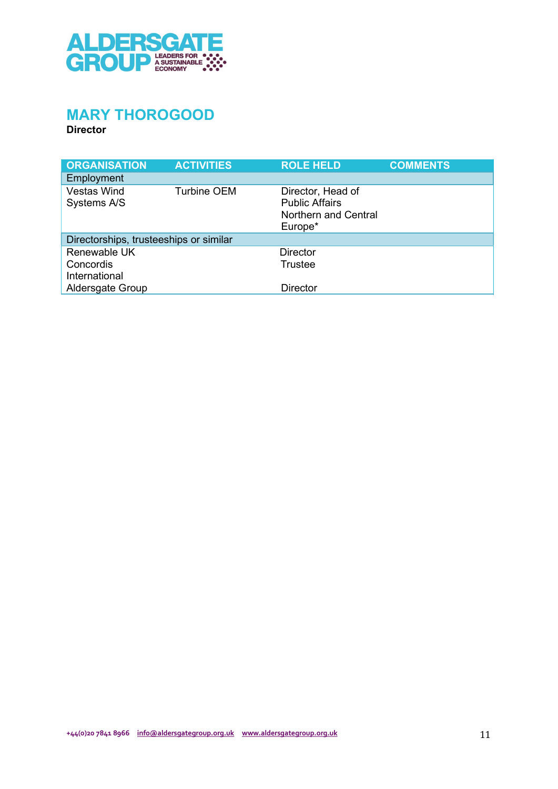

## MARY THOROGOOD

| <b>ORGANISATION</b>                        | <b>ACTIVITIES</b>  | <b>ROLE HELD</b>                                                              | <b>COMMENTS</b> |
|--------------------------------------------|--------------------|-------------------------------------------------------------------------------|-----------------|
| <b>Employment</b>                          |                    |                                                                               |                 |
| <b>Vestas Wind</b><br>Systems A/S          | <b>Turbine OEM</b> | Director, Head of<br><b>Public Affairs</b><br>Northern and Central<br>Europe* |                 |
| Directorships, trusteeships or similar     |                    |                                                                               |                 |
| Renewable UK<br>Concordis<br>International |                    | <b>Director</b><br><b>Trustee</b>                                             |                 |
| Aldersgate Group                           |                    | <b>Director</b>                                                               |                 |